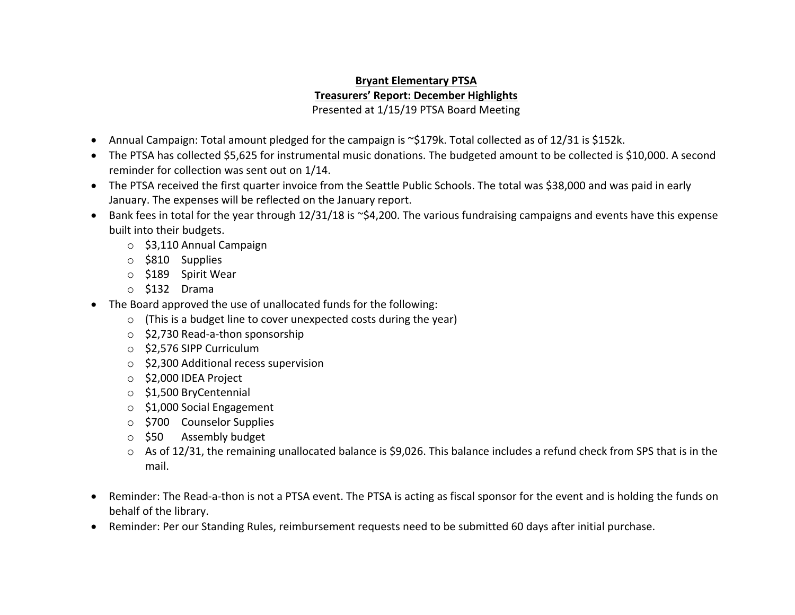## **Bryant Elementary PTSA Treasurers' Report: December Highlights** Presented at 1/15/19 PTSA Board Meeting

- Annual Campaign: Total amount pledged for the campaign is ~\$179k. Total collected as of 12/31 is \$152k.
- The PTSA has collected \$5,625 for instrumental music donations. The budgeted amount to be collected is \$10,000. A second reminder for collection was sent out on 1/14.
- The PTSA received the first quarter invoice from the Seattle Public Schools. The total was \$38,000 and was paid in early January. The expenses will be reflected on the January report.
- Bank fees in total for the year through 12/31/18 is ~\$4,200. The various fundraising campaigns and events have this expense built into their budgets.
	- o \$3,110 Annual Campaign
	- o \$810 Supplies
	- o \$189 Spirit Wear
	- o \$132 Drama
- The Board approved the use of unallocated funds for the following:
	- $\circ$  (This is a budget line to cover unexpected costs during the year)
	- o \$2,730 Read-a-thon sponsorship
	- o \$2,576 SIPP Curriculum
	- o \$2,300 Additional recess supervision
	- o \$2,000 IDEA Project
	- o \$1,500 BryCentennial
	- o \$1,000 Social Engagement
	- o \$700 Counselor Supplies
	- o \$50 Assembly budget
	- $\circ$  As of 12/31, the remaining unallocated balance is \$9,026. This balance includes a refund check from SPS that is in the mail.
- Reminder: The Read-a-thon is not a PTSA event. The PTSA is acting as fiscal sponsor for the event and is holding the funds on behalf of the library.
- Reminder: Per our Standing Rules, reimbursement requests need to be submitted 60 days after initial purchase.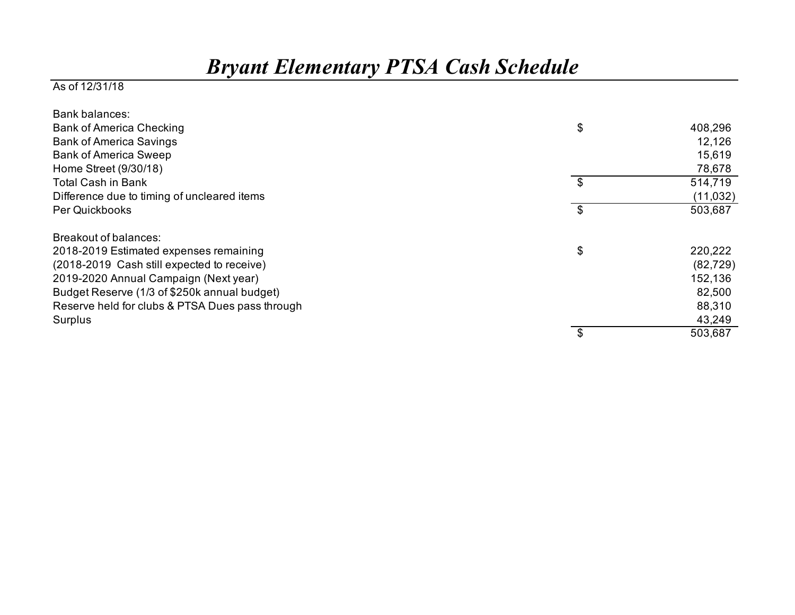## *Bryant Elementary PTSA Cash Schedule*

## As of 12/31/18

| Bank balances:                                  |               |
|-------------------------------------------------|---------------|
| <b>Bank of America Checking</b>                 | \$<br>408,296 |
| <b>Bank of America Savings</b>                  | 12,126        |
| <b>Bank of America Sweep</b>                    | 15,619        |
| Home Street (9/30/18)                           | 78,678        |
| <b>Total Cash in Bank</b>                       | \$<br>514,719 |
| Difference due to timing of uncleared items     | (11, 032)     |
| Per Quickbooks                                  | \$<br>503,687 |
| Breakout of balances:                           |               |
| 2018-2019 Estimated expenses remaining          | \$<br>220,222 |
| (2018-2019 Cash still expected to receive)      | (82, 729)     |
| 2019-2020 Annual Campaign (Next year)           | 152,136       |
| Budget Reserve (1/3 of \$250k annual budget)    | 82,500        |
| Reserve held for clubs & PTSA Dues pass through | 88,310        |
| Surplus                                         | 43,249        |
|                                                 | 503,687       |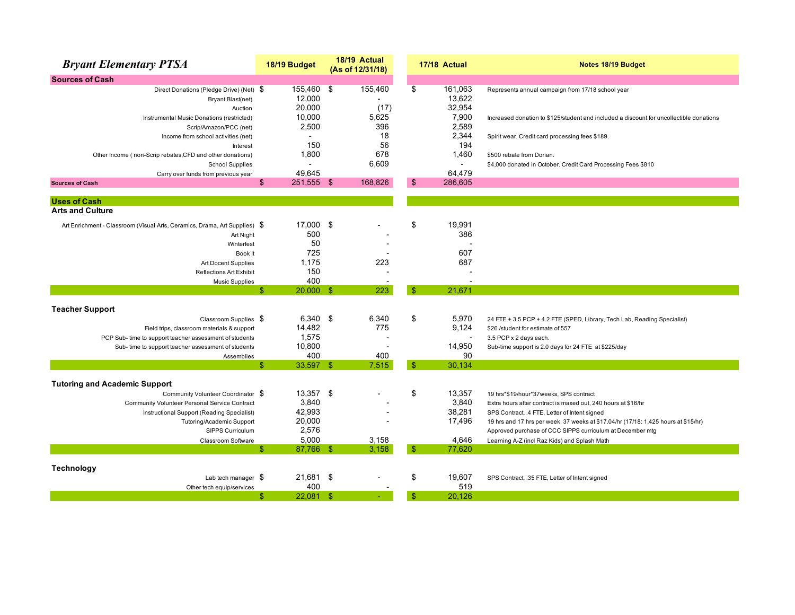| <b>Sources of Cash</b><br>155,460 \$<br>155,460<br>161,063<br>\$<br>Direct Donations (Pledge Drive) (Net) \$<br>Represents annual campaign from 17/18 school year<br>13,622<br>12,000<br>Bryant Blast(net)<br>20,000<br>32,954<br>(17)<br>Auction<br>10,000<br>5,625<br>7,900<br>Instrumental Music Donations (restricted)<br>Increased donation to \$125/student and included a discount for uncollectible donations<br>2,500<br>396<br>2,589<br>Scrip/Amazon/PCC (net)<br>18<br>2,344<br>Income from school activities (net)<br>Spirit wear. Credit card processing fees \$189.<br>56<br>150<br>194<br>Interest<br>678<br>1,800<br>1,460<br>\$500 rebate from Dorian.<br>Other Income (non-Scrip rebates, CFD and other donations)<br>6,609<br><b>School Supplies</b><br>$\overline{a}$<br>$\sim$<br>\$4,000 donated in October. Credit Card Processing Fees \$810<br>49,645<br>64,479<br>Carry over funds from previous year<br>$\mathfrak{S}$<br>251,555 \$<br>168.826<br>\$<br>286.605<br><b>Sources of Cash</b><br><b>Uses of Cash</b><br><b>Arts and Culture</b> | <b>Bryant Elementary PTSA</b> | 18/19 Budget | 18/19 Actual<br>(As of 12/31/18) | 17/18 Actual | Notes 18/19 Budget |
|-------------------------------------------------------------------------------------------------------------------------------------------------------------------------------------------------------------------------------------------------------------------------------------------------------------------------------------------------------------------------------------------------------------------------------------------------------------------------------------------------------------------------------------------------------------------------------------------------------------------------------------------------------------------------------------------------------------------------------------------------------------------------------------------------------------------------------------------------------------------------------------------------------------------------------------------------------------------------------------------------------------------------------------------------------------------------|-------------------------------|--------------|----------------------------------|--------------|--------------------|
|                                                                                                                                                                                                                                                                                                                                                                                                                                                                                                                                                                                                                                                                                                                                                                                                                                                                                                                                                                                                                                                                         |                               |              |                                  |              |                    |
|                                                                                                                                                                                                                                                                                                                                                                                                                                                                                                                                                                                                                                                                                                                                                                                                                                                                                                                                                                                                                                                                         |                               |              |                                  |              |                    |
|                                                                                                                                                                                                                                                                                                                                                                                                                                                                                                                                                                                                                                                                                                                                                                                                                                                                                                                                                                                                                                                                         |                               |              |                                  |              |                    |
|                                                                                                                                                                                                                                                                                                                                                                                                                                                                                                                                                                                                                                                                                                                                                                                                                                                                                                                                                                                                                                                                         |                               |              |                                  |              |                    |
|                                                                                                                                                                                                                                                                                                                                                                                                                                                                                                                                                                                                                                                                                                                                                                                                                                                                                                                                                                                                                                                                         |                               |              |                                  |              |                    |
|                                                                                                                                                                                                                                                                                                                                                                                                                                                                                                                                                                                                                                                                                                                                                                                                                                                                                                                                                                                                                                                                         |                               |              |                                  |              |                    |
|                                                                                                                                                                                                                                                                                                                                                                                                                                                                                                                                                                                                                                                                                                                                                                                                                                                                                                                                                                                                                                                                         |                               |              |                                  |              |                    |
|                                                                                                                                                                                                                                                                                                                                                                                                                                                                                                                                                                                                                                                                                                                                                                                                                                                                                                                                                                                                                                                                         |                               |              |                                  |              |                    |
|                                                                                                                                                                                                                                                                                                                                                                                                                                                                                                                                                                                                                                                                                                                                                                                                                                                                                                                                                                                                                                                                         |                               |              |                                  |              |                    |
|                                                                                                                                                                                                                                                                                                                                                                                                                                                                                                                                                                                                                                                                                                                                                                                                                                                                                                                                                                                                                                                                         |                               |              |                                  |              |                    |
|                                                                                                                                                                                                                                                                                                                                                                                                                                                                                                                                                                                                                                                                                                                                                                                                                                                                                                                                                                                                                                                                         |                               |              |                                  |              |                    |
|                                                                                                                                                                                                                                                                                                                                                                                                                                                                                                                                                                                                                                                                                                                                                                                                                                                                                                                                                                                                                                                                         |                               |              |                                  |              |                    |
|                                                                                                                                                                                                                                                                                                                                                                                                                                                                                                                                                                                                                                                                                                                                                                                                                                                                                                                                                                                                                                                                         |                               |              |                                  |              |                    |
|                                                                                                                                                                                                                                                                                                                                                                                                                                                                                                                                                                                                                                                                                                                                                                                                                                                                                                                                                                                                                                                                         |                               |              |                                  |              |                    |
| 17,000 \$<br>Art Enrichment - Classroom (Visual Arts, Ceramics, Drama, Art Supplies) \$                                                                                                                                                                                                                                                                                                                                                                                                                                                                                                                                                                                                                                                                                                                                                                                                                                                                                                                                                                                 |                               |              |                                  | \$<br>19,991 |                    |
| 500<br>386<br>Art Night                                                                                                                                                                                                                                                                                                                                                                                                                                                                                                                                                                                                                                                                                                                                                                                                                                                                                                                                                                                                                                                 |                               |              |                                  |              |                    |
| 50<br>Winterfest                                                                                                                                                                                                                                                                                                                                                                                                                                                                                                                                                                                                                                                                                                                                                                                                                                                                                                                                                                                                                                                        |                               |              |                                  |              |                    |
| 607<br>725<br>Book It                                                                                                                                                                                                                                                                                                                                                                                                                                                                                                                                                                                                                                                                                                                                                                                                                                                                                                                                                                                                                                                   |                               |              |                                  |              |                    |
| 687<br>1,175<br>223<br><b>Art Docent Supplies</b>                                                                                                                                                                                                                                                                                                                                                                                                                                                                                                                                                                                                                                                                                                                                                                                                                                                                                                                                                                                                                       |                               |              |                                  |              |                    |
| 150<br><b>Reflections Art Exhibit</b>                                                                                                                                                                                                                                                                                                                                                                                                                                                                                                                                                                                                                                                                                                                                                                                                                                                                                                                                                                                                                                   |                               |              |                                  |              |                    |
| 400<br><b>Music Supplies</b>                                                                                                                                                                                                                                                                                                                                                                                                                                                                                                                                                                                                                                                                                                                                                                                                                                                                                                                                                                                                                                            |                               |              |                                  |              |                    |
| 223<br>$20,000$ \$<br>$\mathbf{\$}$<br>21,671<br>\$.                                                                                                                                                                                                                                                                                                                                                                                                                                                                                                                                                                                                                                                                                                                                                                                                                                                                                                                                                                                                                    |                               |              |                                  |              |                    |
| <b>Teacher Support</b>                                                                                                                                                                                                                                                                                                                                                                                                                                                                                                                                                                                                                                                                                                                                                                                                                                                                                                                                                                                                                                                  |                               |              |                                  |              |                    |
| \$<br>$6,340$ \$<br>6,340<br>5,970<br>Classroom Supplies \$<br>24 FTE + 3.5 PCP + 4.2 FTE (SPED, Library, Tech Lab, Reading Specialist)                                                                                                                                                                                                                                                                                                                                                                                                                                                                                                                                                                                                                                                                                                                                                                                                                                                                                                                                 |                               |              |                                  |              |                    |
| 775<br>14,482<br>9,124<br>Field trips, classroom materials & support<br>\$26 /student for estimate of 557                                                                                                                                                                                                                                                                                                                                                                                                                                                                                                                                                                                                                                                                                                                                                                                                                                                                                                                                                               |                               |              |                                  |              |                    |
| 1,575<br>PCP Sub- time to support teacher assessment of students<br>3.5 PCP x 2 days each.                                                                                                                                                                                                                                                                                                                                                                                                                                                                                                                                                                                                                                                                                                                                                                                                                                                                                                                                                                              |                               |              |                                  |              |                    |
| 10,800<br>14,950<br>Sub- time to support teacher assessment of students<br>Sub-time support is 2.0 days for 24 FTE at \$225/day                                                                                                                                                                                                                                                                                                                                                                                                                                                                                                                                                                                                                                                                                                                                                                                                                                                                                                                                         |                               |              |                                  |              |                    |
| 400<br>400<br>90<br>Assemblies                                                                                                                                                                                                                                                                                                                                                                                                                                                                                                                                                                                                                                                                                                                                                                                                                                                                                                                                                                                                                                          |                               |              |                                  |              |                    |
| $\mathbf{\$}$<br>\$<br>33,597 \$<br>7,515<br>30,134                                                                                                                                                                                                                                                                                                                                                                                                                                                                                                                                                                                                                                                                                                                                                                                                                                                                                                                                                                                                                     |                               |              |                                  |              |                    |
| <b>Tutoring and Academic Support</b>                                                                                                                                                                                                                                                                                                                                                                                                                                                                                                                                                                                                                                                                                                                                                                                                                                                                                                                                                                                                                                    |                               |              |                                  |              |                    |
| \$<br>13,357 \$<br>13,357<br>Community Volunteer Coordinator \$<br>19 hrs*\$19/hour*37weeks, SPS contract                                                                                                                                                                                                                                                                                                                                                                                                                                                                                                                                                                                                                                                                                                                                                                                                                                                                                                                                                               |                               |              |                                  |              |                    |
| 3,840<br>3.840<br>Community Volunteer Personal Service Contract<br>Extra hours after contract is maxed out, 240 hours at \$16/hr                                                                                                                                                                                                                                                                                                                                                                                                                                                                                                                                                                                                                                                                                                                                                                                                                                                                                                                                        |                               |              |                                  |              |                    |
| 42,993<br>38,281<br>Instructional Support (Reading Specialist)<br>SPS Contract, .4 FTE, Letter of Intent signed                                                                                                                                                                                                                                                                                                                                                                                                                                                                                                                                                                                                                                                                                                                                                                                                                                                                                                                                                         |                               |              |                                  |              |                    |
| 20,000<br>17,496<br>Tutoring/Academic Support<br>19 hrs and 17 hrs per week, 37 weeks at \$17.04/hr (17/18: 1,425 hours at \$15/hr)                                                                                                                                                                                                                                                                                                                                                                                                                                                                                                                                                                                                                                                                                                                                                                                                                                                                                                                                     |                               |              |                                  |              |                    |
| 2,576<br>SIPPS Curriculum<br>Approved purchase of CCC SIPPS curriculum at December mtg                                                                                                                                                                                                                                                                                                                                                                                                                                                                                                                                                                                                                                                                                                                                                                                                                                                                                                                                                                                  |                               |              |                                  |              |                    |
| 5.000<br>3,158<br>4.646<br>Classroom Software<br>Learning A-Z (incl Raz Kids) and Splash Math                                                                                                                                                                                                                                                                                                                                                                                                                                                                                                                                                                                                                                                                                                                                                                                                                                                                                                                                                                           |                               |              |                                  |              |                    |
| $\mathbf{\hat{s}}$<br>\$.<br>87,766 \$<br>3,158<br>77,620                                                                                                                                                                                                                                                                                                                                                                                                                                                                                                                                                                                                                                                                                                                                                                                                                                                                                                                                                                                                               |                               |              |                                  |              |                    |
| Technology                                                                                                                                                                                                                                                                                                                                                                                                                                                                                                                                                                                                                                                                                                                                                                                                                                                                                                                                                                                                                                                              |                               |              |                                  |              |                    |
| \$<br>21,681 \$<br>19,607<br>Lab tech manager $\sqrt$<br>SPS Contract, .35 FTE, Letter of Intent signed                                                                                                                                                                                                                                                                                                                                                                                                                                                                                                                                                                                                                                                                                                                                                                                                                                                                                                                                                                 |                               |              |                                  |              |                    |
| 400<br>519<br>Other tech equip/services                                                                                                                                                                                                                                                                                                                                                                                                                                                                                                                                                                                                                                                                                                                                                                                                                                                                                                                                                                                                                                 |                               |              |                                  |              |                    |
| $\mathsf{\$}$<br>\$<br>$22,081$ \$<br>20,126                                                                                                                                                                                                                                                                                                                                                                                                                                                                                                                                                                                                                                                                                                                                                                                                                                                                                                                                                                                                                            |                               |              |                                  |              |                    |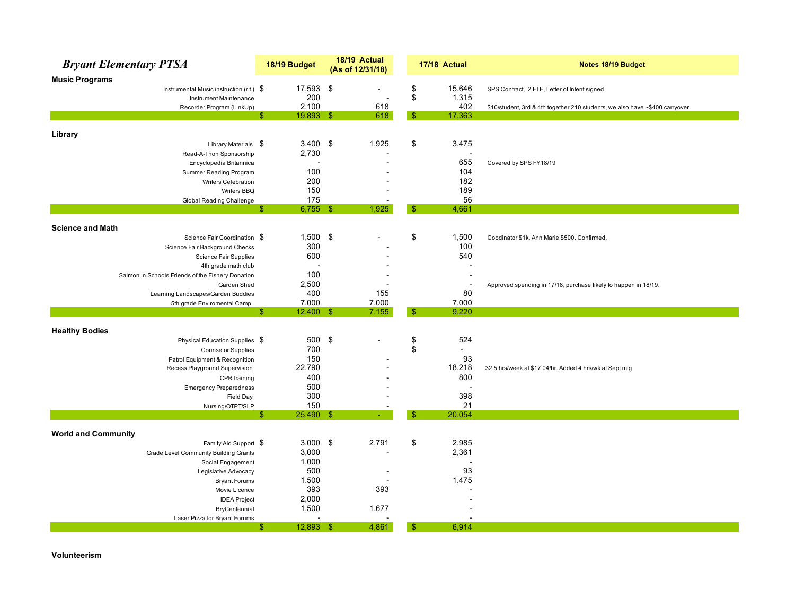| <b>Bryant Elementary PTSA</b>                     | 18/19 Budget                         | 18/19 Actual<br>(As of 12/31/18) |               | 17/18 Actual             | Notes 18/19 Budget                                                           |
|---------------------------------------------------|--------------------------------------|----------------------------------|---------------|--------------------------|------------------------------------------------------------------------------|
| <b>Music Programs</b>                             |                                      |                                  |               |                          |                                                                              |
| Instrumental Music instruction (r.f.) $\$$        | 17,593 \$                            |                                  | \$            | 15,646                   | SPS Contract, .2 FTE, Letter of Intent signed                                |
| Instrument Maintenance                            | 200                                  |                                  | \$            | 1,315                    |                                                                              |
| Recorder Program (LinkUp)                         | 2,100<br>\$.                         | 618                              | -\$           | 402                      | \$10/student, 3rd & 4th together 210 students, we also have ~\$400 carryover |
|                                                   | $19,893$ \$                          | 618                              |               | 17,363                   |                                                                              |
| Library                                           |                                      |                                  |               |                          |                                                                              |
| Library Materials \$                              | $3,400$ \$                           | 1,925                            | \$            | 3,475                    |                                                                              |
| Read-A-Thon Sponsorship                           | 2,730                                |                                  |               |                          |                                                                              |
| Encyclopedia Britannica                           |                                      |                                  |               | 655                      | Covered by SPS FY18/19                                                       |
| Summer Reading Program                            | 100                                  |                                  |               | 104                      |                                                                              |
| Writers Celebration                               | 200                                  |                                  |               | 182                      |                                                                              |
| Writers BBQ                                       | 150                                  |                                  |               | 189                      |                                                                              |
| Global Reading Challenge                          | 175                                  |                                  |               | 56                       |                                                                              |
|                                                   | \$<br>$6,755$ \$                     | 1,925                            | -\$           | 4,661                    |                                                                              |
| <b>Science and Math</b>                           |                                      |                                  |               |                          |                                                                              |
| Science Fair Coordination \$                      | 1,500                                | \$                               | \$            | 1,500                    | Coodinator \$1k, Ann Marie \$500. Confirmed.                                 |
| Science Fair Background Checks                    | 300                                  |                                  |               | 100                      |                                                                              |
| <b>Science Fair Supplies</b>                      | 600                                  |                                  |               | 540                      |                                                                              |
| 4th grade math club                               | ٠                                    |                                  |               |                          |                                                                              |
| Salmon in Schools Friends of the Fishery Donation | 100                                  |                                  |               | $\overline{\phantom{a}}$ |                                                                              |
| Garden Shed                                       | 2,500                                |                                  |               | $\overline{\phantom{a}}$ | Approved spending in 17/18, purchase likely to happen in 18/19.              |
| Learning Landscapes/Garden Buddies                | 400                                  | 155                              |               | 80                       |                                                                              |
| 5th grade Enviromental Camp                       | 7,000<br>$\mathbb{S}$<br>$12,400$ \$ | 7,000<br>7,155                   | $\mathbb{S}$  | 7,000<br>9,220           |                                                                              |
|                                                   |                                      |                                  |               |                          |                                                                              |
| <b>Healthy Bodies</b>                             |                                      |                                  |               |                          |                                                                              |
| Physical Education Supplies \$                    | 500                                  | \$                               | \$            | 524                      |                                                                              |
| <b>Counselor Supplies</b>                         | 700                                  |                                  | \$            | $\overline{a}$           |                                                                              |
| Patrol Equipment & Recognition                    | 150                                  |                                  |               | 93                       |                                                                              |
| Recess Playground Supervision                     | 22,790                               |                                  |               | 18,218                   | 32.5 hrs/week at \$17.04/hr. Added 4 hrs/wk at Sept mtg                      |
| CPR training                                      | 400                                  |                                  |               | 800                      |                                                                              |
| <b>Emergency Preparedness</b>                     | 500                                  |                                  |               |                          |                                                                              |
| Field Day                                         | 300                                  |                                  |               | 398                      |                                                                              |
| Nursing/OTPT/SLP                                  | 150                                  |                                  |               | 21                       |                                                                              |
|                                                   | \$<br>25,490 \$                      |                                  | $\mathbf{\$}$ | 20,054                   |                                                                              |
| <b>World and Community</b>                        |                                      |                                  |               |                          |                                                                              |
| Family Aid Support \$                             | $3,000$ \$                           | 2,791                            | \$            | 2,985                    |                                                                              |
| <b>Grade Level Community Building Grants</b>      | 3,000                                |                                  |               | 2,361                    |                                                                              |
| Social Engagement                                 | 1,000                                |                                  |               |                          |                                                                              |
| Legislative Advocacy                              | 500                                  |                                  |               | 93                       |                                                                              |
| <b>Bryant Forums</b>                              | 1,500                                |                                  |               | 1,475                    |                                                                              |
| Movie Licence                                     | 393                                  | 393                              |               |                          |                                                                              |
| <b>IDEA Project</b>                               | 2,000                                |                                  |               |                          |                                                                              |
| BryCentennial                                     | 1,500                                | 1,677                            |               |                          |                                                                              |
| Laser Pizza for Bryant Forums                     |                                      |                                  |               |                          |                                                                              |
|                                                   | $\mathbb{S}$<br>12,893 \$            | 4,861                            | $\mathbf{\$}$ | 6,914                    |                                                                              |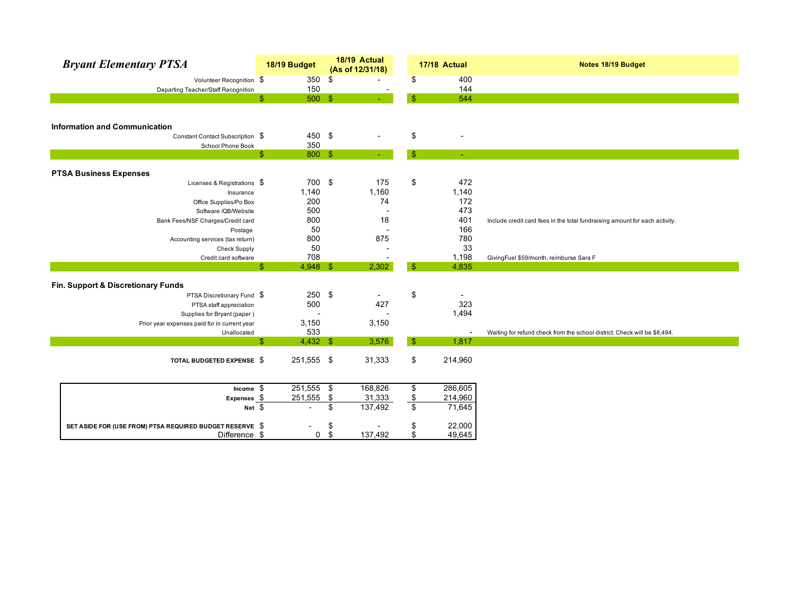| <b>Bryant Elementary PTSA</b>                            | 18/19 Budget               | 18/19 Actual<br>(As of 12/31/18) |                 | 17/18 Actual | Notes 18/19 Budget                                                          |
|----------------------------------------------------------|----------------------------|----------------------------------|-----------------|--------------|-----------------------------------------------------------------------------|
| Volunteer Recognition \$                                 | 350                        | \$                               | \$              | 400          |                                                                             |
| Departing Teacher/Staff Recognition                      | 150                        |                                  |                 | 144          |                                                                             |
|                                                          | $\mathbb{S}$<br>500 \$     |                                  | $\mathbb{S}$    | 544          |                                                                             |
|                                                          |                            |                                  |                 |              |                                                                             |
| <b>Information and Communication</b>                     |                            |                                  |                 |              |                                                                             |
| Constant Contact Subscription \$                         | 450 \$                     |                                  | \$              |              |                                                                             |
| School Phone Book                                        | 350                        |                                  |                 |              |                                                                             |
|                                                          | $\mathbb{S}$<br>800 \$     |                                  | -S              |              |                                                                             |
|                                                          |                            |                                  |                 |              |                                                                             |
| <b>PTSA Business Expenses</b>                            |                            |                                  |                 |              |                                                                             |
| Licenses & Registrations \$                              | 700 \$                     | 175                              | \$              | 472          |                                                                             |
| Insurance                                                | 1,140                      | 1,160                            |                 | 1,140        |                                                                             |
| Office Supplies/Po Box                                   | 200                        | 74                               |                 | 172          |                                                                             |
| Software /QB/Website                                     | 500                        |                                  |                 | 473          |                                                                             |
| Bank Fees/NSF Charges/Credit card                        | 800                        | 18                               |                 | 401          | Include credit card fees in the total fundraising amount for each activity. |
| Postage                                                  | 50                         |                                  |                 | 166          |                                                                             |
| Accounting services (tax return)                         | 800                        | 875                              |                 | 780          |                                                                             |
| <b>Check Supply</b>                                      | 50                         |                                  |                 | 33           |                                                                             |
| Credit card software                                     | 708                        |                                  |                 | 1,198        | GivingFuel \$59/month, reimburse Sara F                                     |
|                                                          | $\mathbb{S}$<br>$4,948$ \$ | 2,302                            | $\mathbf{\$}$   | 4,835        |                                                                             |
|                                                          |                            |                                  |                 |              |                                                                             |
| Fin. Support & Discretionary Funds                       |                            |                                  |                 |              |                                                                             |
| PTSA Discretionary Fund \$                               | 250 \$                     |                                  | \$              |              |                                                                             |
| PTSA staff appreciation                                  | 500                        | 427                              |                 | 323          |                                                                             |
| Supplies for Bryant (paper)                              |                            |                                  |                 | 1,494        |                                                                             |
| Prior year expenses paid for in current year             | 3,150                      | 3,150                            |                 |              |                                                                             |
| Unallocated                                              | 533                        |                                  |                 |              | Waiting for refund check from the school district. Check will be \$8,494.   |
|                                                          | $\mathbb{S}$<br>$4,432$ \$ | 3,576                            | $\sqrt{3}$      | 1,817        |                                                                             |
| TOTAL BUDGETED EXPENSE \$                                | 251,555 \$                 | 31,333                           | \$              | 214,960      |                                                                             |
|                                                          |                            |                                  |                 |              |                                                                             |
| Income $$$                                               | $251,555$ \$               | 168,826                          | \$              | 286,605      |                                                                             |
| Expenses $$$                                             | 251,555                    | \$<br>31,333                     | $\frac{\$}{\$}$ | 214,960      |                                                                             |
| Net $$$                                                  | $\overline{\phantom{0}}$   | \$<br>137,492                    |                 | 71,645       |                                                                             |
|                                                          |                            |                                  |                 |              |                                                                             |
| SET ASIDE FOR (USE FROM) PTSA REQUIRED BUDGET RESERVE \$ |                            | \$                               | \$              | 22,000       |                                                                             |
| Difference \$                                            | $\mathbf{0}$               | \$<br>137,492                    | \$              | 49,645       |                                                                             |